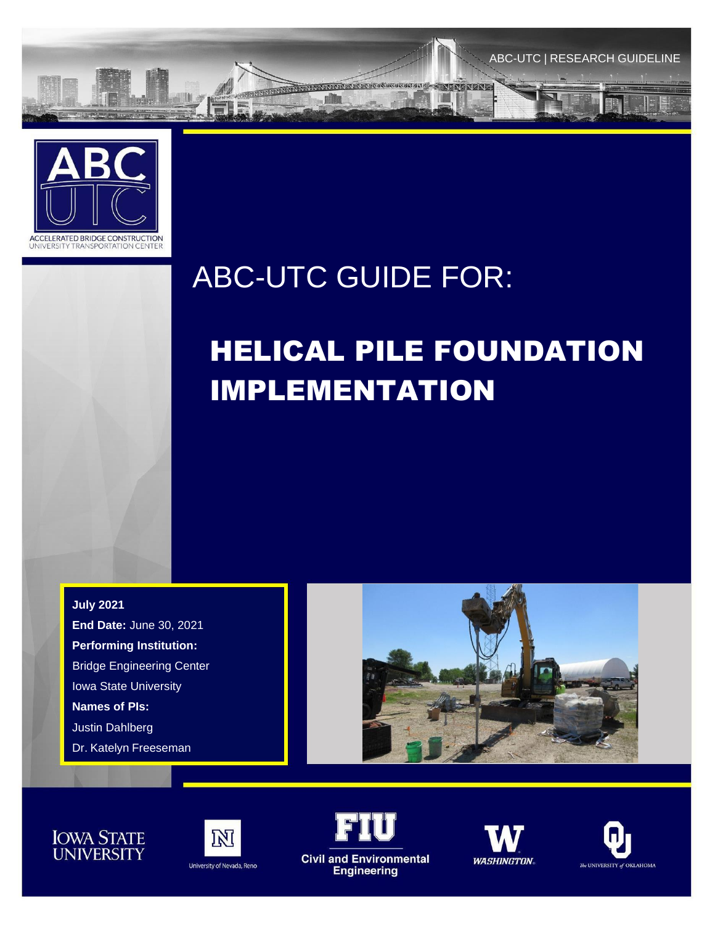



## ABC-UTC GUIDE FOR:

# HELICAL PILE FOUNDATION IMPLEMENTATION

**July 2021 End Date:** June 30, 2021 **Performing Institution:** Bridge Engineering Center Iowa State University **Names of PIs:** Justin Dahlberg Dr. Katelyn Freeseman







University of Nevada, Reno



**1**



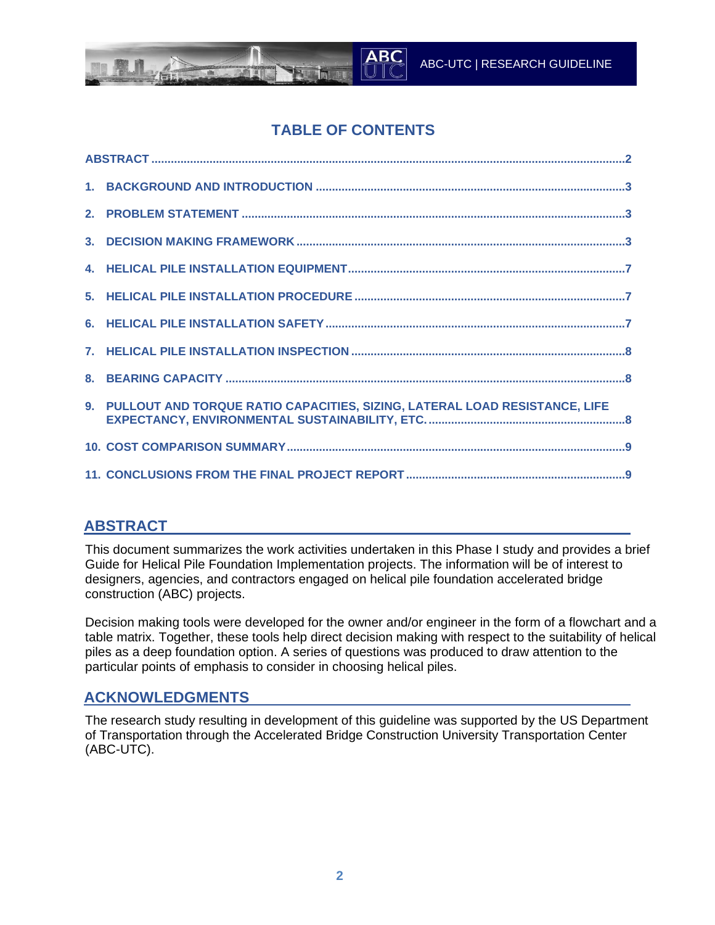

## **TABLE OF CONTENTS**

| 9. PULLOUT AND TORQUE RATIO CAPACITIES, SIZING, LATERAL LOAD RESISTANCE, LIFE |
|-------------------------------------------------------------------------------|
|                                                                               |
|                                                                               |

#### **ABSTRACT**

This document summarizes the work activities undertaken in this Phase I study and provides a brief Guide for Helical Pile Foundation Implementation projects. The information will be of interest to designers, agencies, and contractors engaged on helical pile foundation accelerated bridge construction (ABC) projects.

Decision making tools were developed for the owner and/or engineer in the form of a flowchart and a table matrix. Together, these tools help direct decision making with respect to the suitability of helical piles as a deep foundation option. A series of questions was produced to draw attention to the particular points of emphasis to consider in choosing helical piles.

#### **ACKNOWLEDGMENTS**

The research study resulting in development of this guideline was supported by the US Department of Transportation through the Accelerated Bridge Construction University Transportation Center (ABC-UTC).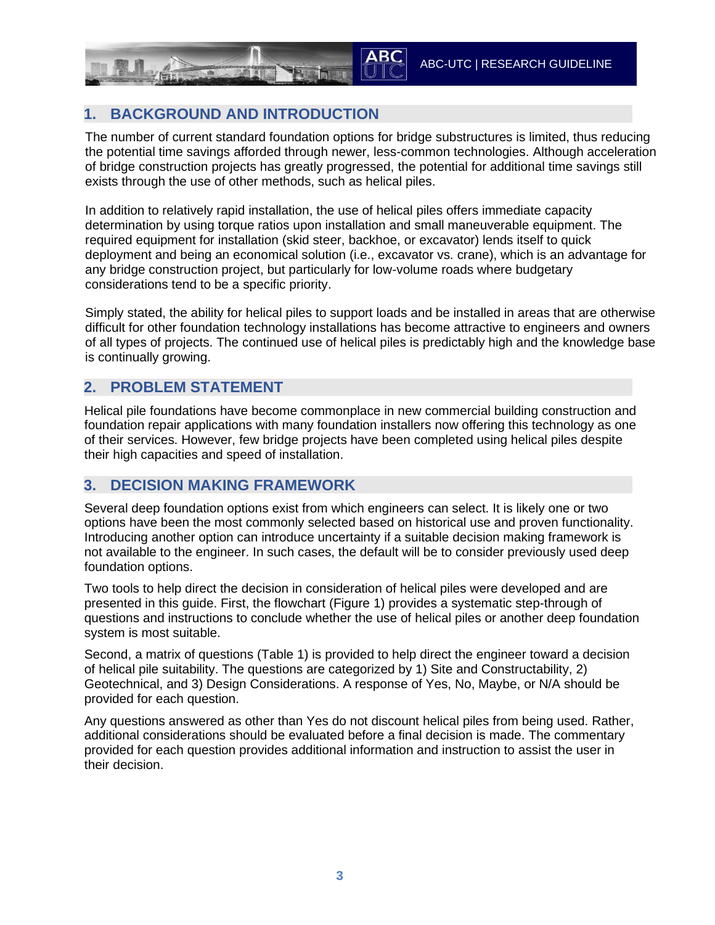## **1. BACKGROUND AND INTRODUCTION**

The number of current standard foundation options for bridge substructures is limited, thus reducing the potential time savings afforded through newer, less-common technologies. Although acceleration of bridge construction projects has greatly progressed, the potential for additional time savings still exists through the use of other methods, such as helical piles.

In addition to relatively rapid installation, the use of helical piles offers immediate capacity determination by using torque ratios upon installation and small maneuverable equipment. The required equipment for installation (skid steer, backhoe, or excavator) lends itself to quick deployment and being an economical solution (i.e., excavator vs. crane), which is an advantage for any bridge construction project, but particularly for low-volume roads where budgetary considerations tend to be a specific priority.

Simply stated, the ability for helical piles to support loads and be installed in areas that are otherwise difficult for other foundation technology installations has become attractive to engineers and owners of all types of projects. The continued use of helical piles is predictably high and the knowledge base is continually growing.

#### **2. PROBLEM STATEMENT**

Helical pile foundations have become commonplace in new commercial building construction and foundation repair applications with many foundation installers now offering this technology as one of their services. However, few bridge projects have been completed using helical piles despite their high capacities and speed of installation.

#### **3. DECISION MAKING FRAMEWORK**

Several deep foundation options exist from which engineers can select. It is likely one or two options have been the most commonly selected based on historical use and proven functionality. Introducing another option can introduce uncertainty if a suitable decision making framework is not available to the engineer. In such cases, the default will be to consider previously used deep foundation options.

Two tools to help direct the decision in consideration of helical piles were developed and are presented in this guide. First, the flowchart (Figure 1) provides a systematic step-through of questions and instructions to conclude whether the use of helical piles or another deep foundation system is most suitable.

Second, a matrix of questions (Table 1) is provided to help direct the engineer toward a decision of helical pile suitability. The questions are categorized by 1) Site and Constructability, 2) Geotechnical, and 3) Design Considerations. A response of Yes, No, Maybe, or N/A should be provided for each question.

Any questions answered as other than Yes do not discount helical piles from being used. Rather, additional considerations should be evaluated before a final decision is made. The commentary provided for each question provides additional information and instruction to assist the user in their decision.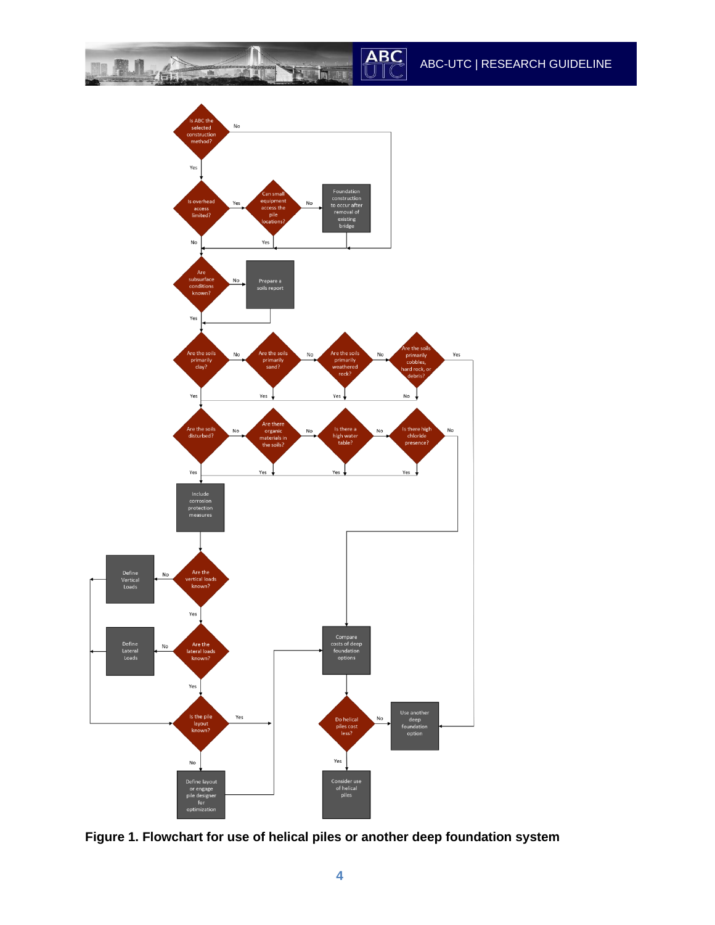ABC-UTC | RESEARCH GUIDELINE

ABC

in I

■■■

Thi LE



 $\mathcal{L}$ 

**Figure 1. Flowchart for use of helical piles or another deep foundation system**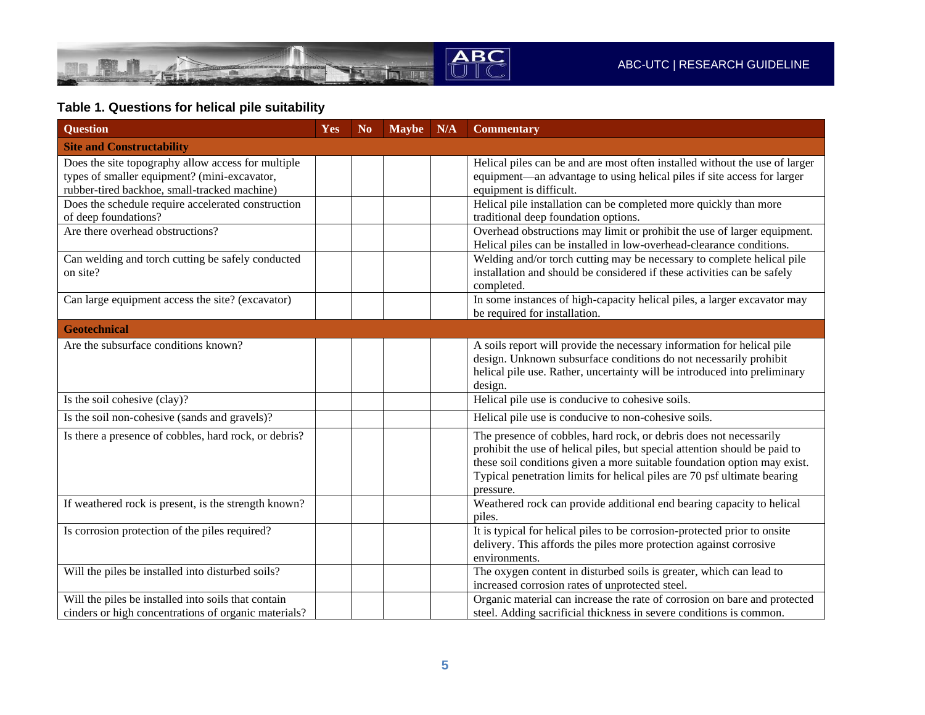

## **Table 1. Questions for helical pile suitability**

| <b>Question</b>                                                                                                                                    | Yes | N <sub>o</sub> | Maybe | N/A | <b>Commentary</b>                                                                                                                                                                                                                                                                                                     |  |  |  |
|----------------------------------------------------------------------------------------------------------------------------------------------------|-----|----------------|-------|-----|-----------------------------------------------------------------------------------------------------------------------------------------------------------------------------------------------------------------------------------------------------------------------------------------------------------------------|--|--|--|
| <b>Site and Constructability</b>                                                                                                                   |     |                |       |     |                                                                                                                                                                                                                                                                                                                       |  |  |  |
| Does the site topography allow access for multiple<br>types of smaller equipment? (mini-excavator,<br>rubber-tired backhoe, small-tracked machine) |     |                |       |     | Helical piles can be and are most often installed without the use of larger<br>equipment—an advantage to using helical piles if site access for larger<br>equipment is difficult.                                                                                                                                     |  |  |  |
| Does the schedule require accelerated construction<br>of deep foundations?                                                                         |     |                |       |     | Helical pile installation can be completed more quickly than more<br>traditional deep foundation options.                                                                                                                                                                                                             |  |  |  |
| Are there overhead obstructions?                                                                                                                   |     |                |       |     | Overhead obstructions may limit or prohibit the use of larger equipment.<br>Helical piles can be installed in low-overhead-clearance conditions.                                                                                                                                                                      |  |  |  |
| Can welding and torch cutting be safely conducted<br>on site?                                                                                      |     |                |       |     | Welding and/or torch cutting may be necessary to complete helical pile<br>installation and should be considered if these activities can be safely<br>completed.                                                                                                                                                       |  |  |  |
| Can large equipment access the site? (excavator)                                                                                                   |     |                |       |     | In some instances of high-capacity helical piles, a larger excavator may<br>be required for installation.                                                                                                                                                                                                             |  |  |  |
| <b>Geotechnical</b>                                                                                                                                |     |                |       |     |                                                                                                                                                                                                                                                                                                                       |  |  |  |
| Are the subsurface conditions known?                                                                                                               |     |                |       |     | A soils report will provide the necessary information for helical pile<br>design. Unknown subsurface conditions do not necessarily prohibit<br>helical pile use. Rather, uncertainty will be introduced into preliminary<br>design.                                                                                   |  |  |  |
| Is the soil cohesive (clay)?                                                                                                                       |     |                |       |     | Helical pile use is conducive to cohesive soils.                                                                                                                                                                                                                                                                      |  |  |  |
| Is the soil non-cohesive (sands and gravels)?                                                                                                      |     |                |       |     | Helical pile use is conducive to non-cohesive soils.                                                                                                                                                                                                                                                                  |  |  |  |
| Is there a presence of cobbles, hard rock, or debris?                                                                                              |     |                |       |     | The presence of cobbles, hard rock, or debris does not necessarily<br>prohibit the use of helical piles, but special attention should be paid to<br>these soil conditions given a more suitable foundation option may exist.<br>Typical penetration limits for helical piles are 70 psf ultimate bearing<br>pressure. |  |  |  |
| If weathered rock is present, is the strength known?                                                                                               |     |                |       |     | Weathered rock can provide additional end bearing capacity to helical<br>piles.                                                                                                                                                                                                                                       |  |  |  |
| Is corrosion protection of the piles required?                                                                                                     |     |                |       |     | It is typical for helical piles to be corrosion-protected prior to onsite<br>delivery. This affords the piles more protection against corrosive<br>environments.                                                                                                                                                      |  |  |  |
| Will the piles be installed into disturbed soils?                                                                                                  |     |                |       |     | The oxygen content in disturbed soils is greater, which can lead to<br>increased corrosion rates of unprotected steel.                                                                                                                                                                                                |  |  |  |
| Will the piles be installed into soils that contain<br>cinders or high concentrations of organic materials?                                        |     |                |       |     | Organic material can increase the rate of corrosion on bare and protected<br>steel. Adding sacrificial thickness in severe conditions is common.                                                                                                                                                                      |  |  |  |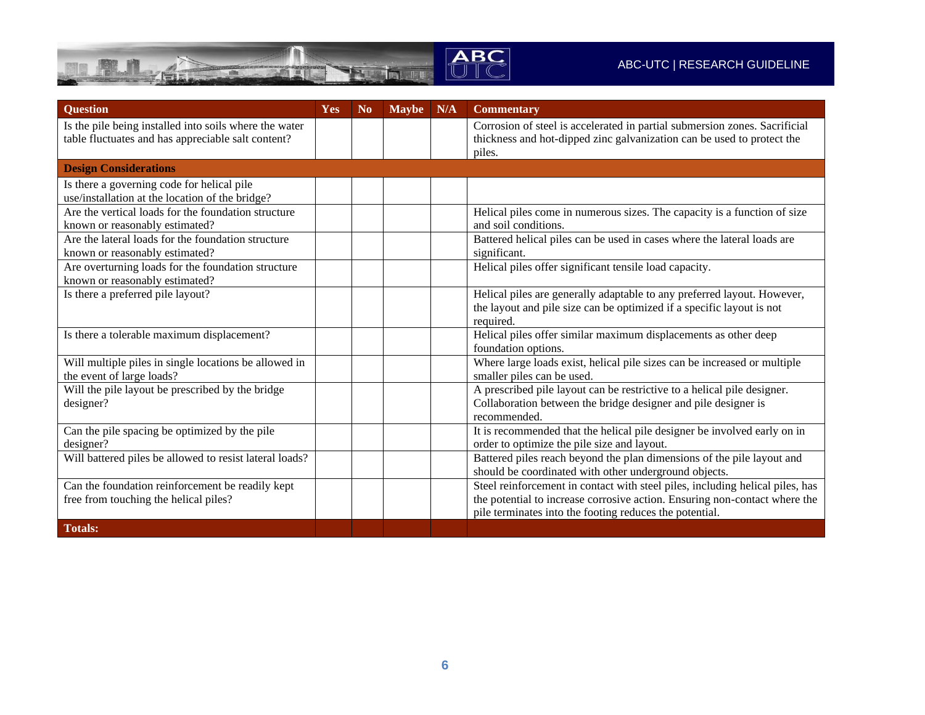

#### ABC-UTC | RESEARCH GUIDELINE

| <b>Question</b>                                                                                              | Yes | N <sub>0</sub> | <b>Maybe</b> | N/A | <b>Commentary</b>                                                                                                                                    |
|--------------------------------------------------------------------------------------------------------------|-----|----------------|--------------|-----|------------------------------------------------------------------------------------------------------------------------------------------------------|
| Is the pile being installed into soils where the water<br>table fluctuates and has appreciable salt content? |     |                |              |     | Corrosion of steel is accelerated in partial submersion zones. Sacrificial<br>thickness and hot-dipped zinc galvanization can be used to protect the |
|                                                                                                              |     |                |              |     | piles.                                                                                                                                               |
| <b>Design Considerations</b>                                                                                 |     |                |              |     |                                                                                                                                                      |
| Is there a governing code for helical pile                                                                   |     |                |              |     |                                                                                                                                                      |
| use/installation at the location of the bridge?                                                              |     |                |              |     |                                                                                                                                                      |
| Are the vertical loads for the foundation structure                                                          |     |                |              |     | Helical piles come in numerous sizes. The capacity is a function of size                                                                             |
| known or reasonably estimated?                                                                               |     |                |              |     | and soil conditions.                                                                                                                                 |
| Are the lateral loads for the foundation structure                                                           |     |                |              |     | Battered helical piles can be used in cases where the lateral loads are                                                                              |
| known or reasonably estimated?                                                                               |     |                |              |     | significant.                                                                                                                                         |
| Are overturning loads for the foundation structure                                                           |     |                |              |     | Helical piles offer significant tensile load capacity.                                                                                               |
| known or reasonably estimated?                                                                               |     |                |              |     |                                                                                                                                                      |
| Is there a preferred pile layout?                                                                            |     |                |              |     | Helical piles are generally adaptable to any preferred layout. However,                                                                              |
|                                                                                                              |     |                |              |     | the layout and pile size can be optimized if a specific layout is not<br>required.                                                                   |
| Is there a tolerable maximum displacement?                                                                   |     |                |              |     | Helical piles offer similar maximum displacements as other deep                                                                                      |
|                                                                                                              |     |                |              |     | foundation options.                                                                                                                                  |
| Will multiple piles in single locations be allowed in                                                        |     |                |              |     | Where large loads exist, helical pile sizes can be increased or multiple                                                                             |
| the event of large loads?                                                                                    |     |                |              |     | smaller piles can be used.                                                                                                                           |
| Will the pile layout be prescribed by the bridge                                                             |     |                |              |     | A prescribed pile layout can be restrictive to a helical pile designer.                                                                              |
| designer?                                                                                                    |     |                |              |     | Collaboration between the bridge designer and pile designer is                                                                                       |
|                                                                                                              |     |                |              |     | recommended.                                                                                                                                         |
| Can the pile spacing be optimized by the pile                                                                |     |                |              |     | It is recommended that the helical pile designer be involved early on in                                                                             |
| designer?                                                                                                    |     |                |              |     | order to optimize the pile size and layout.                                                                                                          |
| Will battered piles be allowed to resist lateral loads?                                                      |     |                |              |     | Battered piles reach beyond the plan dimensions of the pile layout and                                                                               |
|                                                                                                              |     |                |              |     | should be coordinated with other underground objects.                                                                                                |
| Can the foundation reinforcement be readily kept                                                             |     |                |              |     | Steel reinforcement in contact with steel piles, including helical piles, has                                                                        |
| free from touching the helical piles?                                                                        |     |                |              |     | the potential to increase corrosive action. Ensuring non-contact where the                                                                           |
|                                                                                                              |     |                |              |     | pile terminates into the footing reduces the potential.                                                                                              |
| <b>Totals:</b>                                                                                               |     |                |              |     |                                                                                                                                                      |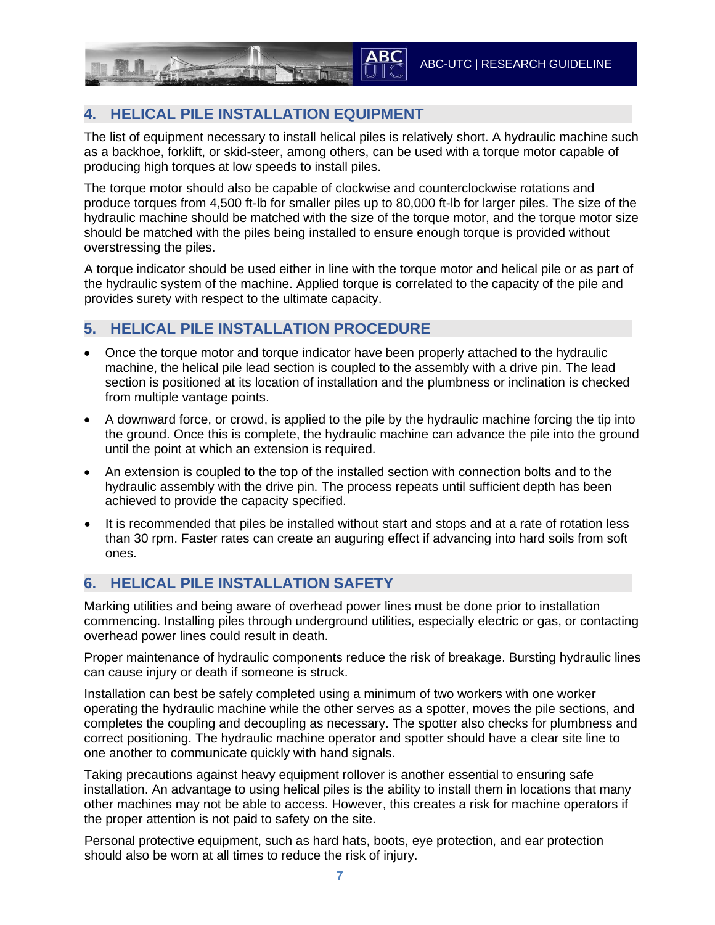### **4. HELICAL PILE INSTALLATION EQUIPMENT**

The list of equipment necessary to install helical piles is relatively short. A hydraulic machine such as a backhoe, forklift, or skid-steer, among others, can be used with a torque motor capable of producing high torques at low speeds to install piles.

The torque motor should also be capable of clockwise and counterclockwise rotations and produce torques from 4,500 ft-lb for smaller piles up to 80,000 ft-lb for larger piles. The size of the hydraulic machine should be matched with the size of the torque motor, and the torque motor size should be matched with the piles being installed to ensure enough torque is provided without overstressing the piles.

A torque indicator should be used either in line with the torque motor and helical pile or as part of the hydraulic system of the machine. Applied torque is correlated to the capacity of the pile and provides surety with respect to the ultimate capacity.

#### **5. HELICAL PILE INSTALLATION PROCEDURE**

- Once the torque motor and torque indicator have been properly attached to the hydraulic machine, the helical pile lead section is coupled to the assembly with a drive pin. The lead section is positioned at its location of installation and the plumbness or inclination is checked from multiple vantage points.
- A downward force, or crowd, is applied to the pile by the hydraulic machine forcing the tip into the ground. Once this is complete, the hydraulic machine can advance the pile into the ground until the point at which an extension is required.
- An extension is coupled to the top of the installed section with connection bolts and to the hydraulic assembly with the drive pin. The process repeats until sufficient depth has been achieved to provide the capacity specified.
- It is recommended that piles be installed without start and stops and at a rate of rotation less than 30 rpm. Faster rates can create an auguring effect if advancing into hard soils from soft ones.

#### **6. HELICAL PILE INSTALLATION SAFETY**

Marking utilities and being aware of overhead power lines must be done prior to installation commencing. Installing piles through underground utilities, especially electric or gas, or contacting overhead power lines could result in death.

Proper maintenance of hydraulic components reduce the risk of breakage. Bursting hydraulic lines can cause injury or death if someone is struck.

Installation can best be safely completed using a minimum of two workers with one worker operating the hydraulic machine while the other serves as a spotter, moves the pile sections, and completes the coupling and decoupling as necessary. The spotter also checks for plumbness and correct positioning. The hydraulic machine operator and spotter should have a clear site line to one another to communicate quickly with hand signals.

Taking precautions against heavy equipment rollover is another essential to ensuring safe installation. An advantage to using helical piles is the ability to install them in locations that many other machines may not be able to access. However, this creates a risk for machine operators if the proper attention is not paid to safety on the site.

Personal protective equipment, such as hard hats, boots, eye protection, and ear protection should also be worn at all times to reduce the risk of injury.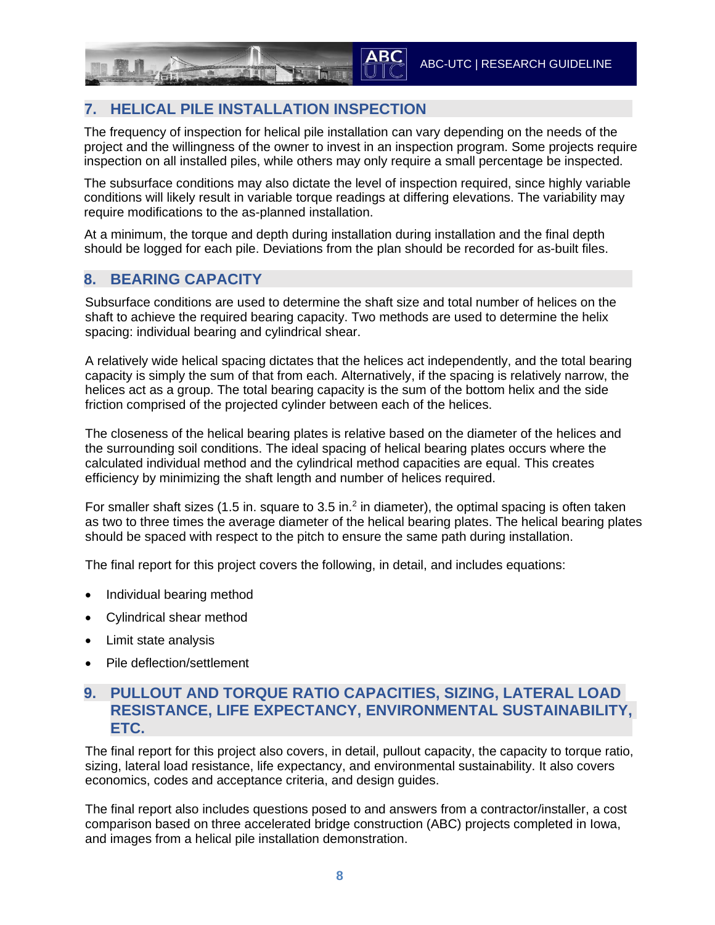### **7. HELICAL PILE INSTALLATION INSPECTION**

The frequency of inspection for helical pile installation can vary depending on the needs of the project and the willingness of the owner to invest in an inspection program. Some projects require inspection on all installed piles, while others may only require a small percentage be inspected.

The subsurface conditions may also dictate the level of inspection required, since highly variable conditions will likely result in variable torque readings at differing elevations. The variability may require modifications to the as-planned installation.

At a minimum, the torque and depth during installation during installation and the final depth should be logged for each pile. Deviations from the plan should be recorded for as-built files.

#### **8. BEARING CAPACITY**

Subsurface conditions are used to determine the shaft size and total number of helices on the shaft to achieve the required bearing capacity. Two methods are used to determine the helix spacing: individual bearing and cylindrical shear.

A relatively wide helical spacing dictates that the helices act independently, and the total bearing capacity is simply the sum of that from each. Alternatively, if the spacing is relatively narrow, the helices act as a group. The total bearing capacity is the sum of the bottom helix and the side friction comprised of the projected cylinder between each of the helices.

The closeness of the helical bearing plates is relative based on the diameter of the helices and the surrounding soil conditions. The ideal spacing of helical bearing plates occurs where the calculated individual method and the cylindrical method capacities are equal. This creates efficiency by minimizing the shaft length and number of helices required.

For smaller shaft sizes (1.5 in. square to 3.5 in. $<sup>2</sup>$  in diameter), the optimal spacing is often taken</sup> as two to three times the average diameter of the helical bearing plates. The helical bearing plates should be spaced with respect to the pitch to ensure the same path during installation.

The final report for this project covers the following, in detail, and includes equations:

- Individual bearing method
- Cylindrical shear method
- Limit state analysis
- Pile deflection/settlement

#### **9. PULLOUT AND TORQUE RATIO CAPACITIES, SIZING, LATERAL LOAD RESISTANCE, LIFE EXPECTANCY, ENVIRONMENTAL SUSTAINABILITY, ETC.**

The final report for this project also covers, in detail, pullout capacity, the capacity to torque ratio, sizing, lateral load resistance, life expectancy, and environmental sustainability. It also covers economics, codes and acceptance criteria, and design guides.

The final report also includes questions posed to and answers from a contractor/installer, a cost comparison based on three accelerated bridge construction (ABC) projects completed in Iowa, and images from a helical pile installation demonstration.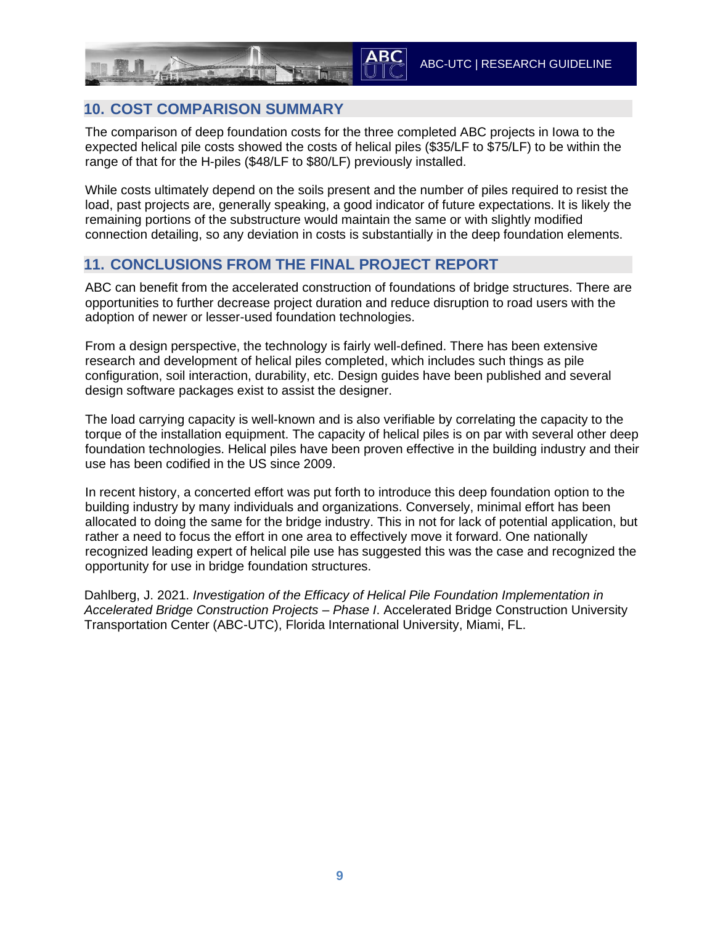#### **10. COST COMPARISON SUMMARY**

The comparison of deep foundation costs for the three completed ABC projects in Iowa to the expected helical pile costs showed the costs of helical piles (\$35/LF to \$75/LF) to be within the range of that for the H-piles (\$48/LF to \$80/LF) previously installed.

While costs ultimately depend on the soils present and the number of piles required to resist the load, past projects are, generally speaking, a good indicator of future expectations. It is likely the remaining portions of the substructure would maintain the same or with slightly modified connection detailing, so any deviation in costs is substantially in the deep foundation elements.

#### **11. CONCLUSIONS FROM THE FINAL PROJECT REPORT**

ABC can benefit from the accelerated construction of foundations of bridge structures. There are opportunities to further decrease project duration and reduce disruption to road users with the adoption of newer or lesser-used foundation technologies.

From a design perspective, the technology is fairly well-defined. There has been extensive research and development of helical piles completed, which includes such things as pile configuration, soil interaction, durability, etc. Design guides have been published and several design software packages exist to assist the designer.

The load carrying capacity is well-known and is also verifiable by correlating the capacity to the torque of the installation equipment. The capacity of helical piles is on par with several other deep foundation technologies. Helical piles have been proven effective in the building industry and their use has been codified in the US since 2009.

In recent history, a concerted effort was put forth to introduce this deep foundation option to the building industry by many individuals and organizations. Conversely, minimal effort has been allocated to doing the same for the bridge industry. This in not for lack of potential application, but rather a need to focus the effort in one area to effectively move it forward. One nationally recognized leading expert of helical pile use has suggested this was the case and recognized the opportunity for use in bridge foundation structures.

Dahlberg, J. 2021. *Investigation of the Efficacy of Helical Pile Foundation Implementation in Accelerated Bridge Construction Projects – Phase I*. Accelerated Bridge Construction University Transportation Center (ABC-UTC), Florida International University, Miami, FL.